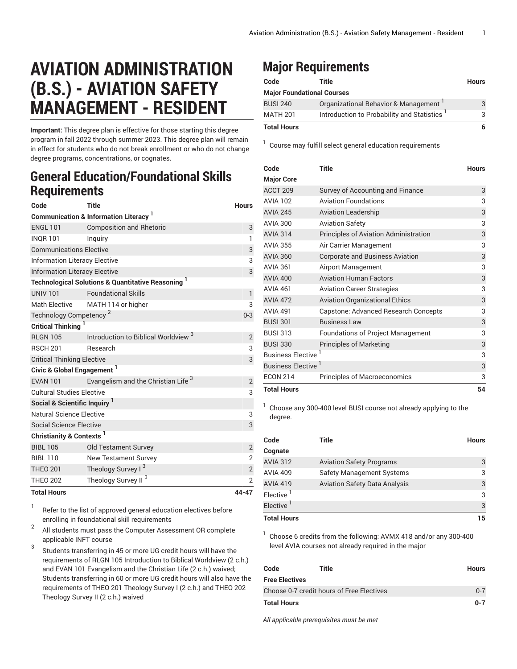## **AVIATION ADMINISTRATION (B.S.) - AVIATION SAFETY MANAGEMENT - RESIDENT**

**Important:** This degree plan is effective for those starting this degree program in fall 2022 through summer 2023. This degree plan will remain in effect for students who do not break enrollment or who do not change degree programs, concentrations, or cognates.

## **General Education/Foundational Skills Requirements**

| Code                                     | Title                                                         | <b>Hours</b>   |  |
|------------------------------------------|---------------------------------------------------------------|----------------|--|
|                                          | <b>Communication &amp; Information Literacy</b>               |                |  |
| <b>ENGL 101</b>                          | <b>Composition and Rhetoric</b>                               | 3              |  |
| <b>INQR101</b>                           | Inguiry                                                       | 1              |  |
| <b>Communications Elective</b>           |                                                               | 3              |  |
| <b>Information Literacy Elective</b>     |                                                               | 3              |  |
| <b>Information Literacy Elective</b>     |                                                               | 3              |  |
|                                          | <b>Technological Solutions &amp; Quantitative Reasoning 1</b> |                |  |
| <b>UNIV 101</b>                          | <b>Foundational Skills</b>                                    | $\mathbf{1}$   |  |
| <b>Math Elective</b>                     | MATH 114 or higher                                            | 3              |  |
| Technology Competency <sup>2</sup>       |                                                               | $0 - 3$        |  |
| <b>Critical Thinking</b>                 |                                                               |                |  |
| <b>RLGN 105</b>                          | Introduction to Biblical Worldview <sup>3</sup>               | $\overline{2}$ |  |
| <b>RSCH 201</b>                          | Research                                                      | 3              |  |
| <b>Critical Thinking Elective</b>        |                                                               | 3              |  |
| Civic & Global Engagement <sup>1</sup>   |                                                               |                |  |
| <b>EVAN 101</b>                          | Evangelism and the Christian Life <sup>3</sup>                | $\overline{2}$ |  |
| <b>Cultural Studies Elective</b>         |                                                               | 3              |  |
| Social & Scientific Inquiry <sup>1</sup> |                                                               |                |  |
| Natural Science Elective                 |                                                               | 3              |  |
| <b>Social Science Elective</b>           |                                                               | 3              |  |
| Christianity & Contexts <sup>1</sup>     |                                                               |                |  |
| <b>BIBL 105</b>                          | <b>Old Testament Survey</b>                                   | $\overline{2}$ |  |
| <b>BIBL 110</b>                          | <b>New Testament Survey</b>                                   | $\overline{2}$ |  |
| <b>THEO 201</b>                          | Theology Survey I <sup>3</sup>                                | $\mathbf{2}$   |  |
| <b>THEO 202</b>                          | Theology Survey II <sup>3</sup>                               | $\overline{2}$ |  |
| <b>Total Hours</b>                       |                                                               | 44-47          |  |

1 Refer to the list of approved general [education](https://www.liberty.edu/gened/) electives before enrolling in foundational skill requirements

2 All students must pass the [Computer Assessment](https://www.liberty.edu/computerassessment/) OR complete applicable INFT course

3 Students transferring in 45 or more UG credit hours will have the requirements of RLGN 105 Introduction to Biblical Worldview (2 c.h.) and EVAN 101 Evangelism and the Christian Life (2 c.h.) waived; Students transferring in 60 or more UG credit hours will also have the requirements of THEO 201 Theology Survey I (2 c.h.) and THEO 202 Theology Survey II (2 c.h.) waived

## **Major Requirements**

| Code                              | Title                                                   | <b>Hours</b> |  |  |
|-----------------------------------|---------------------------------------------------------|--------------|--|--|
| <b>Major Foundational Courses</b> |                                                         |              |  |  |
| <b>BUSI 240</b>                   | Organizational Behavior & Management                    | 3            |  |  |
| <b>MATH 201</b>                   | Introduction to Probability and Statistics <sup>1</sup> | 3            |  |  |
| <b>Total Hours</b>                |                                                         | 6            |  |  |

1 Course may fulfill select general education [requirements](http://www.liberty.edu/academics/generalstudies/?PID=37563)

| Code                     | Title                                    | <b>Hours</b> |
|--------------------------|------------------------------------------|--------------|
| <b>Major Core</b>        |                                          |              |
| ACCT <sub>209</sub>      | Survey of Accounting and Finance         | 3            |
| <b>AVIA 102</b>          | <b>Aviation Foundations</b>              | 3            |
| <b>AVIA 245</b>          | <b>Aviation Leadership</b>               | 3            |
| <b>AVIA 300</b>          | <b>Aviation Safety</b>                   | 3            |
| <b>AVIA 314</b>          | Principles of Aviation Administration    | 3            |
| <b>AVIA 355</b>          | Air Carrier Management                   | 3            |
| <b>AVIA 360</b>          | <b>Corporate and Business Aviation</b>   | 3            |
| <b>AVIA 361</b>          | Airport Management                       | 3            |
| <b>AVIA 400</b>          | <b>Aviation Human Factors</b>            | 3            |
| <b>AVIA 461</b>          | <b>Aviation Career Strategies</b>        | 3            |
| <b>AVIA 472</b>          | <b>Aviation Organizational Ethics</b>    | 3            |
| <b>AVIA 491</b>          | Capstone: Advanced Research Concepts     | 3            |
| <b>BUSI 301</b>          | <b>Business Law</b>                      | 3            |
| <b>BUSI 313</b>          | <b>Foundations of Project Management</b> | 3            |
| <b>BUSI 330</b>          | <b>Principles of Marketing</b>           | 3            |
| <b>Business Elective</b> | 3                                        |              |
| Business Elective        |                                          | 3            |
| <b>ECON 214</b>          | <b>Principles of Macroeconomics</b>      | 3            |
| <b>Total Hours</b>       |                                          | 54           |

1 Choose any 300-400 level BUSI course not already applying to the degree.

| Code                  | Title                                | <b>Hours</b> |
|-----------------------|--------------------------------------|--------------|
| Cognate               |                                      |              |
| <b>AVIA 312</b>       | <b>Aviation Safety Programs</b>      | 3            |
| <b>AVIA 409</b>       | <b>Safety Management Systems</b>     | 3            |
| <b>AVIA 419</b>       | <b>Aviation Safety Data Analysis</b> | 3            |
| Elective <sup>1</sup> |                                      | 3            |
| Elective <sup>1</sup> |                                      | 3            |
| <b>Total Hours</b>    |                                      | 15           |

1 Choose 6 credits from the following: AVMX 418 and/or any 300-400 level AVIA courses not already required in the major

| Code                                      | Title | <b>Hours</b> |
|-------------------------------------------|-------|--------------|
| Free Electives                            |       |              |
| Choose 0-7 credit hours of Free Electives |       | $0 - 7$      |
| Total Hours                               |       | $0 - 7$      |

*All applicable prerequisites must be met*